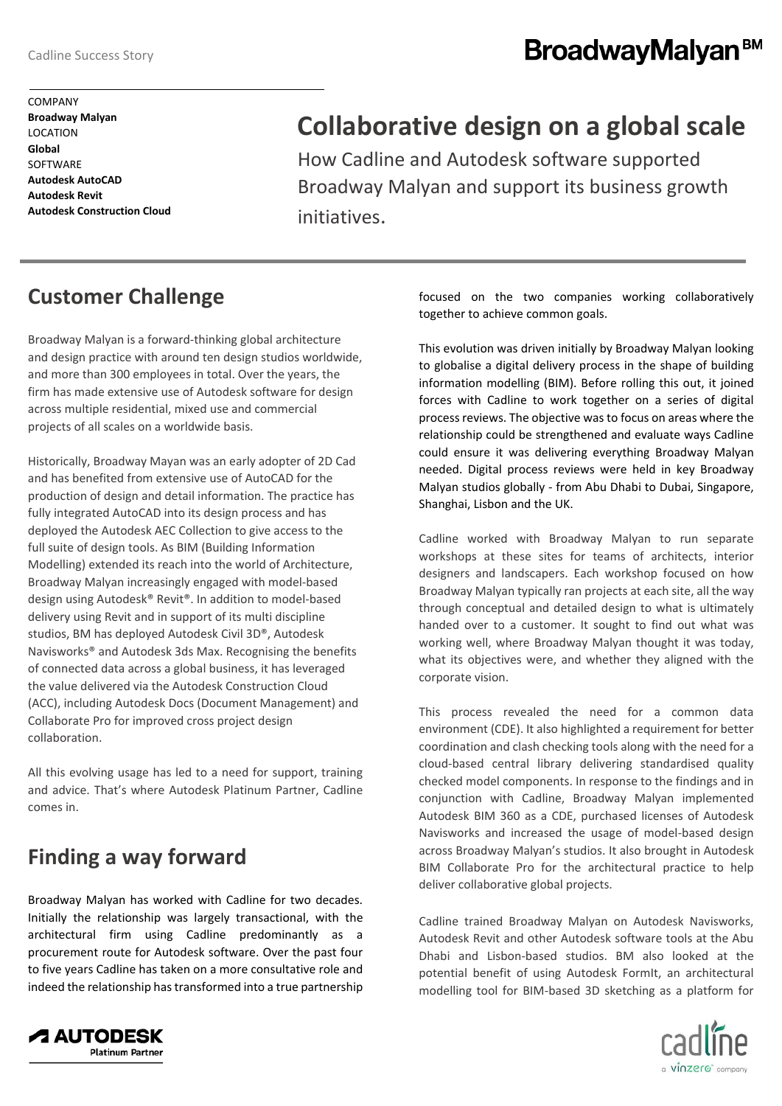# BroadwayMalyan<sup>BM</sup>

# **Collaborative design on a global scale**

How Cadline and Autodesk software supported Broadway Malyan and support its business growth initiatives.

### **Customer Challenge**

Broadway Malyan is a forward-thinking global architecture and design practice with around ten design studios worldwide, and more than 300 employees in total. Over the years, the firm has made extensive use of Autodesk software for design across multiple residential, mixed use and commercial projects of all scales on a worldwide basis.

Historically, Broadway Mayan was an early adopter of 2D Cad and has benefited from extensive use of AutoCAD for the production of design and detail information. The practice has fully integrated AutoCAD into its design process and has deployed the Autodesk AEC Collection to give access to the full suite of design tools. As BIM (Building Information Modelling) extended its reach into the world of Architecture, Broadway Malyan increasingly engaged with model-based design using Autodesk® Revit®. In addition to model-based delivery using Revit and in support of its multi discipline studios, BM has deployed Autodesk Civil 3D®, Autodesk Navisworks® and Autodesk 3ds Max. Recognising the benefits of connected data across a global business, it has leveraged the value delivered via the Autodesk Construction Cloud (ACC), including Autodesk Docs (Document Management) and Collaborate Pro for improved cross project design collaboration.

All this evolving usage has led to a need for support, training and advice. That's where Autodesk Platinum Partner, Cadline comes in.

### **Finding a way forward**

Broadway Malyan has worked with Cadline for two decades. Initially the relationship was largely transactional, with the architectural firm using Cadline predominantly as a procurement route for Autodesk software. Over the past four to five years Cadline has taken on a more consultative role and indeed the relationship has transformed into a true partnership

focused on the two companies working collaboratively together to achieve common goals.

This evolution was driven initially by Broadway Malyan looking to globalise a digital delivery process in the shape of building information modelling (BIM). Before rolling this out, it joined forces with Cadline to work together on a series of digital process reviews. The objective was to focus on areas where the relationship could be strengthened and evaluate ways Cadline could ensure it was delivering everything Broadway Malyan needed. Digital process reviews were held in key Broadway Malyan studios globally - from Abu Dhabi to Dubai, Singapore, Shanghai, Lisbon and the UK.

Cadline worked with Broadway Malyan to run separate workshops at these sites for teams of architects, interior designers and landscapers. Each workshop focused on how Broadway Malyan typically ran projects at each site, all the way through conceptual and detailed design to what is ultimately handed over to a customer. It sought to find out what was working well, where Broadway Malyan thought it was today, what its objectives were, and whether they aligned with the corporate vision.

This process revealed the need for a common data environment (CDE). It also highlighted a requirement for better coordination and clash checking tools along with the need for a cloud-based central library delivering standardised quality checked model components. In response to the findings and in conjunction with Cadline, Broadway Malyan implemented Autodesk BIM 360 as a CDE, purchased licenses of Autodesk Navisworks and increased the usage of model-based design across Broadway Malyan's studios. It also brought in Autodesk BIM Collaborate Pro for the architectural practice to help deliver collaborative global projects.

Cadline trained Broadway Malyan on Autodesk Navisworks, Autodesk Revit and other Autodesk software tools at the Abu Dhabi and Lisbon-based studios. BM also looked at the potential benefit of using Autodesk FormIt, an architectural modelling tool for BIM-based 3D sketching as a platform for